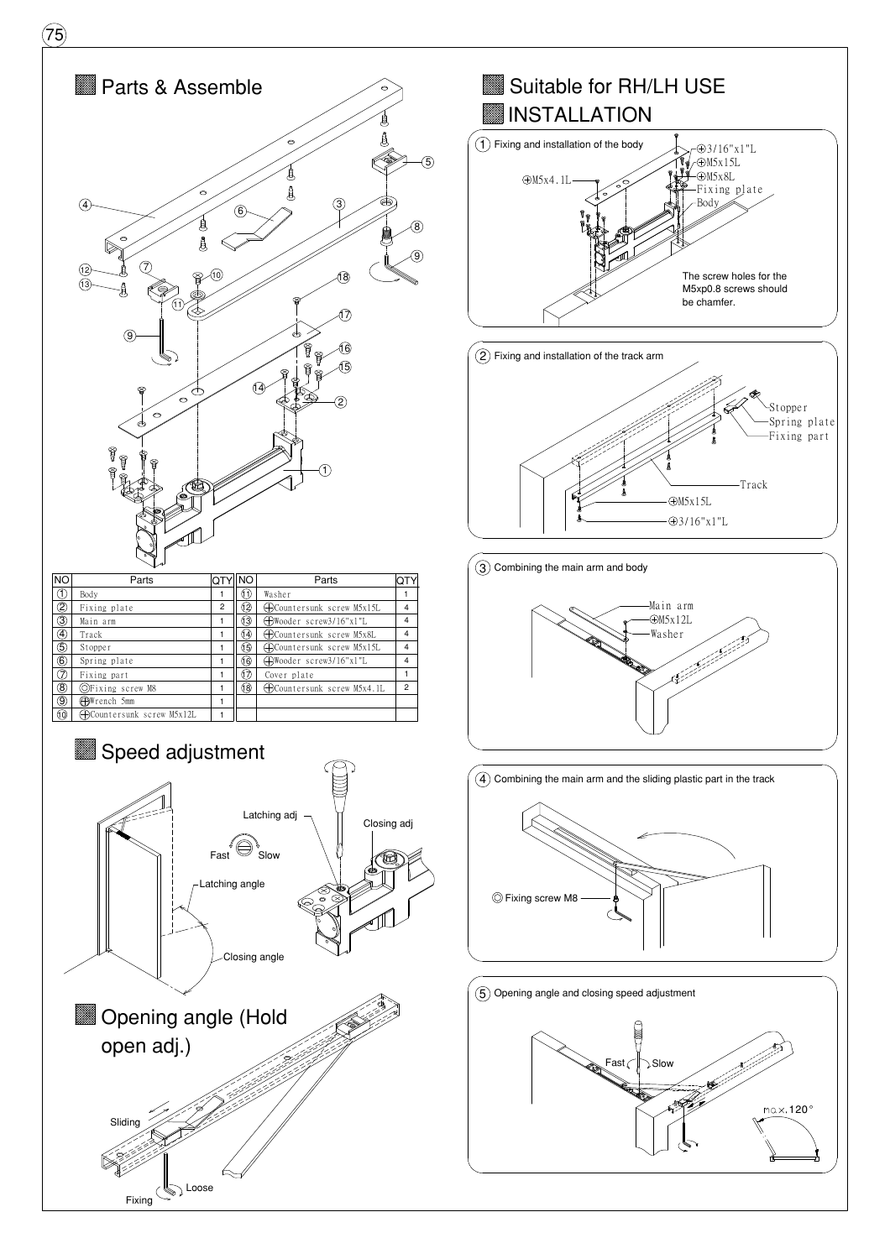